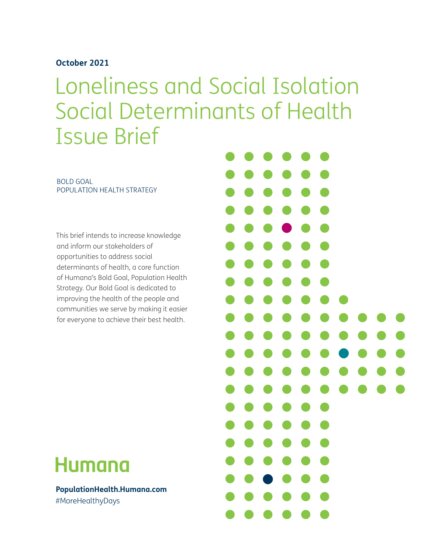## **October 2021**

Loneliness and Social Isolation Social Determinants of Health Issue Brief

BOLD GOAL POPULATION HEALTH STRATEGY

This brief intends to increase knowledge and inform our stakeholders of opportunities to address social determinants of health, a core function of Humana's Bold Goal, Population Health Strategy. Our Bold Goal is dedicated to improving the health of the people and communities we serve by making it easier for everyone to achieve their best health.

# **Humana**

**PopulationHealth.Humana.com** #MoreHealthyDays

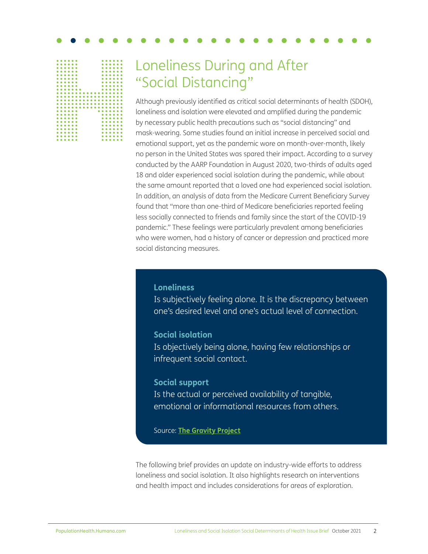

# Loneliness During and After "Social Distancing"

Although previously identified as critical social determinants of health (SDOH), loneliness and isolation were elevated and amplified during the pandemic by necessary public health precautions such as "social distancing" and mask-wearing. Some studies found an initial increase in perceived social and emotional support, yet as the pandemic wore on month-over-month, likely no person in the United States was spared their impact. According to a survey conducted by the AARP Foundation in August 2020, two-thirds of adults aged 18 and older experienced social isolation during the pandemic, while about the same amount reported that a loved one had experienced social isolation. In addition, an analysis of data from the Medicare Current Beneficiary Survey found that "more than one-third of Medicare beneficiaries reported feeling less socially connected to friends and family since the start of the COVID-19 pandemic." These feelings were particularly prevalent among beneficiaries who were women, had a history of cancer or depression and practiced more social distancing measures.

## **Loneliness**

Is subjectively feeling alone. It is the discrepancy between one's desired level and one's actual level of connection.

## **Social isolation**

Is objectively being alone, having few relationships or infrequent social contact.

### **Social support**

Is the actual or perceived availability of tangible, emotional or informational resources from others.

Source: **[The Gravity Project](https://confluence.hl7.org/display/GRAV/Social+Connection)**

The following brief provides an update on industry-wide efforts to address loneliness and social isolation. It also highlights research on interventions and health impact and includes considerations for areas of exploration.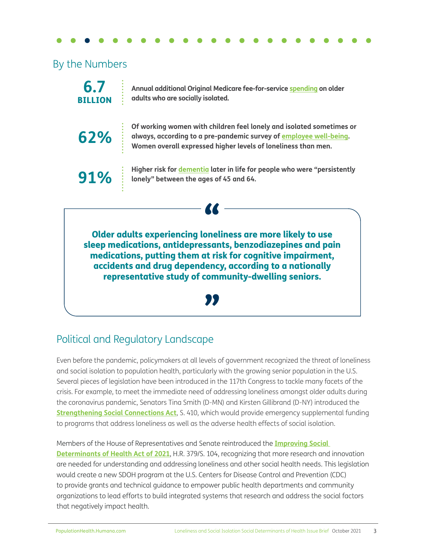## By the Numbers

**6.7** BILLION

**62%**

**Annual additional Original Medicare fee-for-service [spending](https://www.aarp.org/content/dam/aarp/ppi/2017/10/medicare-spends-more-on-socially-isolated-older-adults.pdf) on older adults who are socially isolated.**

**Of working women with children feel lonely and isolated sometimes or always, according to a pre-pandemic survey of [employee well-being](https://www.webmdhealthservices.com/campaign/2020-employee-well-being-report/). Women overall expressed higher levels of loneliness than men.**

**91%**

**Higher risk for [dementia](https://alz-journals.onlinelibrary.wiley.com/doi/abs/10.1002/alz.12327) later in life for people who were "persistently lonely" between the ages of 45 and 64.**

" Older adults experiencing loneliness are more likely to use sleep medications, antidepressants, benzodiazepines and pain medications, putting them at risk for cognitive impairment, accidents and drug dependency, according to a nationally representative study of community-dwelling seniors.

<u>"</u>

## Political and Regulatory Landscape

Even before the pandemic, policymakers at all levels of government recognized the threat of loneliness and social isolation to population health, particularly with the growing senior population in the U.S. Several pieces of legislation have been introduced in the 117th Congress to tackle many facets of the crisis. For example, to meet the immediate need of addressing loneliness amongst older adults during the coronavirus pandemic, Senators Tina Smith (D-MN) and Kirsten Gillibrand (D-NY) introduced the **[Strengthening Social Connections Act](https://www.congress.gov/bill/117th-congress/senate-bill/410?q=%7B%22search%22%3A%5B%22strengthening+social+connections%22%5D%7D&s=1&r=1)**, S. 410, which would provide emergency supplemental funding to programs that address loneliness as well as the adverse health effects of social isolation.

## Members of the House of Representatives and Senate reintroduced the **[Improving Social](https://www.congress.gov/bill/117th-congress/senate-bill/104)**

**[Determinants of Health Act of 2021](https://www.congress.gov/bill/117th-congress/senate-bill/104)**, H.R. 379/S. 104, recognizing that more research and innovation are needed for understanding and addressing loneliness and other social health needs. This legislation would create a new SDOH program at the U.S. Centers for Disease Control and Prevention (CDC) to provide grants and technical guidance to empower public health departments and community organizations to lead efforts to build integrated systems that research and address the social factors that negatively impact health.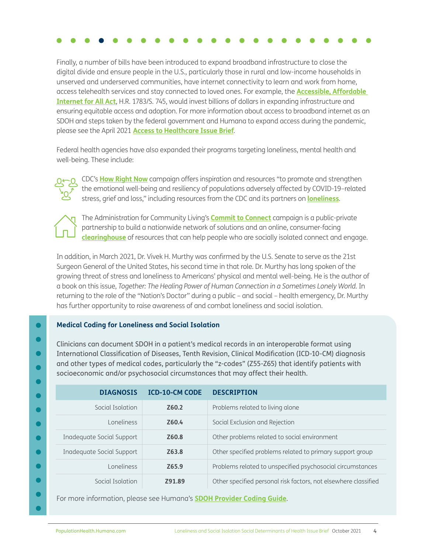Finally, a number of bills have been introduced to expand broadband infrastructure to close the digital divide and ensure people in the U.S., particularly those in rural and low-income households in unserved and underserved communities, have internet connectivity to learn and work from home, access telehealth services and stay connected to loved ones. For example, the **[Accessible, Affordable](https://www.congress.gov/bill/117th-congress/senate-bill/745?q=%7B%22search%22%3A%5B%22internet%22%5D%7D&s=1&r=7)  [Internet for All Act](https://www.congress.gov/bill/117th-congress/senate-bill/745?q=%7B%22search%22%3A%5B%22internet%22%5D%7D&s=1&r=7)**, H.R. 1783/S. 745, would invest billions of dollars in expanding infrastructure and ensuring equitable access and adoption. For more information about access to broadband internet as an SDOH and steps taken by the federal government and Humana to expand access during the pandemic, please see the April 2021 **[Access to Healthcare Issue Brief](https://populationhealth.humana.com/wp-content/uploads/2021/04/AccesstoHealthcare_IssuesBrief_External_8.5x11.pdf)**.

Federal health agencies have also expanded their programs targeting loneliness, mental health and well-being. These include:



 CDC's **[How Right Now](https://www.cdc.gov/howrightnow/index.html)** campaign offers inspiration and resources "to promote and strengthen the emotional well-being and resiliency of populations adversely affected by COVID-19–related stress, grief and loss," including resources from the CDC and its partners on **[loneliness](https://www.cdc.gov/howrightnow/emotion/loneliness/index.html)**.



 The Administration for Community Living's **[Commit to Connect](https://acl.gov/CommitToConnect)** campaign is a public-private partnership to build a nationwide network of solutions and an online, consumer-facing **[clearinghouse](https://connect2affect.org/)** of resources that can help people who are socially isolated connect and engage.

In addition, in March 2021, Dr. Vivek H. Murthy was confirmed by the U.S. Senate to serve as the 21st Surgeon General of the United States, his second time in that role. Dr. Murthy has long spoken of the growing threat of stress and loneliness to Americans' physical and mental well-being. He is the author of a book on this issue, *Together: The Healing Power of Human Connection in a Sometimes Lonely World.* In returning to the role of the "Nation's Doctor" during a public – and social – health emergency, Dr. Murthy has further opportunity to raise awareness of and combat loneliness and social isolation.

### **Medical Coding for Loneliness and Social Isolation**

Clinicians can document SDOH in a patient's medical records in an interoperable format using International Classification of Diseases, Tenth Revision, Clinical Modification (ICD-10-CM) diagnosis and other types of medical codes, particularly the "z-codes" (Z55-Z65) that identify patients with socioeconomic and/or psychosocial circumstances that may affect their health.

| <b>DIAGNOSIS</b>          | <b>ICD-10-CM CODE</b> | <b>DESCRIPTION</b>                                              |
|---------------------------|-----------------------|-----------------------------------------------------------------|
| Social Isolation          | Z60.2                 | Problems related to living alone                                |
| Loneliness                | Z60.4                 | Social Exclusion and Rejection                                  |
| Inadequate Social Support | Z <sub>60.8</sub>     | Other problems related to social environment                    |
| Inadequate Social Support | Z63.8                 | Other specified problems related to primary support group       |
| I oneliness               | Z65.9                 | Problems related to unspecified psychosocial circumstances      |
| Social Isolation          | 791.89                | Other specified personal risk factors, not elsewhere classified |

For more information, please see Humana's **[SDOH Provider Coding Guide](https://populationhealth.humana.com/resources/sdoh-provider-coding-guide/)**.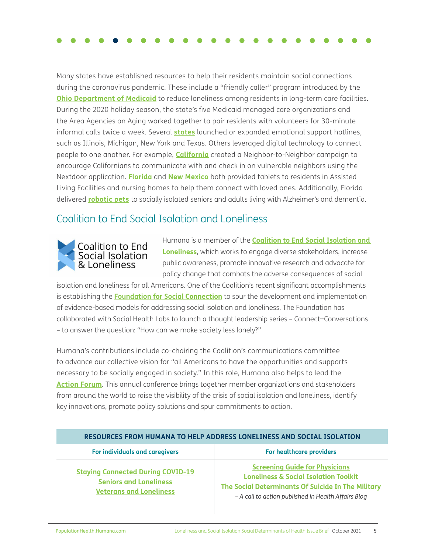Many states have established resources to help their residents maintain social connections during the coronavirus pandemic. These include a "friendly caller" program introduced by the **[Ohio Department of Medicaid](https://www.modernhealthcare.com/post-acute-care/ohio-medicaid-launches-program-curb-long-term-care-loneliness)** to reduce loneliness among residents in long-term care facilities. During the 2020 holiday season, the state's five Medicaid managed care organizations and the Area Agencies on Aging worked together to pair residents with volunteers for 30-minute informal calls twice a week. Several **[states](https://www.nga.org/center/publications/social-isolation-covid19/)** launched or expanded emotional support hotlines, such as Illinois, Michigan, New York and Texas. Others leveraged digital technology to connect people to one another. For example, **[California](https://www.californiavolunteers.ca.gov/get-involved/covid-19/neighbor-check-ins/)** created a Neighbor-to-Neighbor campaign to encourage Californians to communicate with and check in on vulnerable neighbors using the Nextdoor application. **[Florida](https://211palmbeach.org/news/florida-project-vital)** and **[New Mexico](https://www.newmexico.gov/2020/03/31/350-tablets-distributed-to-nursing-facilities-across-the-state-to-improve-communications-for-residents-and-their-loved-one/?_sm_au_=iVVrHJjNJfHn5nBFWTW4vK0p3MfC0)** both provided tablets to residents in Assisted Living Facilities and nursing homes to help them connect with loved ones. Additionally, Florida delivered **[robotic pets](https://www.cnn.com/2020/04/27/us/therapy-robot-pets-wellness-trnd/index.html)** to socially isolated seniors and adults living with Alzheimer's and dementia.

## Coalition to End Social Isolation and Loneliness



Humana is a member of the **[Coalition to End Social Isolation and](https://www.endsocialisolation.org/)  [Loneliness](https://www.endsocialisolation.org/)**, which works to engage diverse stakeholders, increase public awareness, promote innovative research and advocate for policy change that combats the adverse consequences of social

isolation and loneliness for all Americans. One of the Coalition's recent significant accomplishments is establishing the **[Foundation for Social Connection](https://www.social-connection.org/)** to spur the development and implementation of evidence-based models for addressing social isolation and loneliness. The Foundation has collaborated with Social Health Labs to launch a thought leadership series – Connect+Conversations – to answer the question: "How can we make society less lonely?"

Humana's contributions include co-chairing the Coalition's communications committee to advance our collective vision for "all Americans to have the opportunities and supports necessary to be socially engaged in society." In this role, Humana also helps to lead the **[Action Forum](https://www.endsocialisolation.org/action-forum-1)**. This annual conference brings together member organizations and stakeholders from around the world to raise the visibility of the crisis of social isolation and loneliness, identify key innovations, promote policy solutions and spur commitments to action.

| RESOURCES FROM HUMANA TO HELP ADDRESS LONELINESS AND SOCIAL ISOLATION                                       |                                                                                                                                                                                                               |  |
|-------------------------------------------------------------------------------------------------------------|---------------------------------------------------------------------------------------------------------------------------------------------------------------------------------------------------------------|--|
| For individuals and caregivers                                                                              | <b>For healthcare providers</b>                                                                                                                                                                               |  |
| <b>Staying Connected During COVID-19</b><br><b>Seniors and Loneliness</b><br><b>Veterans and Loneliness</b> | <b>Screening Guide for Physicians</b><br><b>Loneliness &amp; Social Isolation Toolkit</b><br><b>The Social Determinants Of Suicide In The Military</b><br>- A call to action published in Health Affairs Blog |  |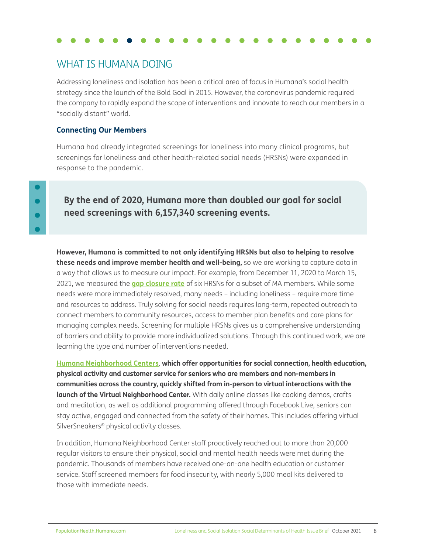## WHAT IS HUMANA DOING

Addressing loneliness and isolation has been a critical area of focus in Humana's social health strategy since the launch of the Bold Goal in 2015. However, the coronavirus pandemic required the company to rapidly expand the scope of interventions and innovate to reach our members in a "socially distant" world.

## **Connecting Our Members**

Humana had already integrated screenings for loneliness into many clinical programs, but screenings for loneliness and other health-related social needs (HRSNs) were expanded in response to the pandemic.

## **By the end of 2020, Humana more than doubled our goal for social need screenings with 6,157,340 screening events.**

**However, Humana is committed to not only identifying HRSNs but also to helping to resolve these needs and improve member health and well-being,** so we are working to capture data in a way that allows us to measure our impact. For example, from December 11, 2020 to March 15, 2021, we measured the **[gap closure rate](https://populationhealth.humana.com/wp-content/uploads/2021/06/Humana_BG_progress_2021_digital_v1.8.pdf)** of six HRSNs for a subset of MA members. While some needs were more immediately resolved, many needs – including loneliness – require more time and resources to address. Truly solving for social needs requires long-term, repeated outreach to connect members to community resources, access to member plan benefits and care plans for managing complex needs. Screening for multiple HRSNs gives us a comprehensive understanding of barriers and ability to provide more individualized solutions. Through this continued work, we are learning the type and number of interventions needed.

**[Humana Neighborhood Centers](https://www.humananeighborhoodcenter.com/)**, **which offer opportunities for social connection, health education, physical activity and customer service for seniors who are members and non-members in communities across the country, quickly shifted from in-person to virtual interactions with the launch of the Virtual Neighborhood Center.** With daily online classes like cooking demos, crafts and meditation, as well as additional programming offered through Facebook Live, seniors can stay active, engaged and connected from the safety of their homes. This includes offering virtual SilverSneakers® physical activity classes.

In addition, Humana Neighborhood Center staff proactively reached out to more than 20,000 regular visitors to ensure their physical, social and mental health needs were met during the pandemic. Thousands of members have received one-on-one health education or customer service. Staff screened members for food insecurity, with nearly 5,000 meal kits delivered to those with immediate needs.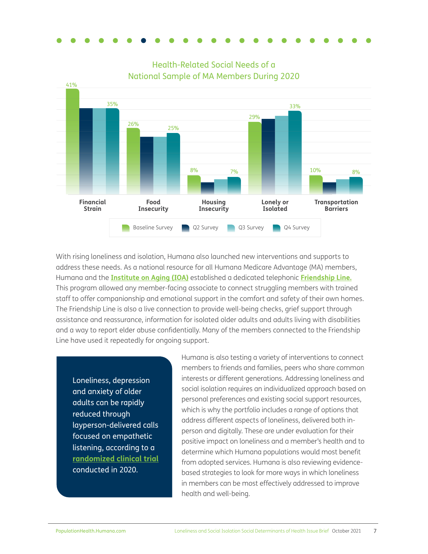

Health-Related Social Needs of a National Sample of MA Members During 2020

With rising loneliness and isolation, Humana also launched new interventions and supports to address these needs. As a national resource for all Humana Medicare Advantage (MA) members, Humana and the **[Institute on Aging \(IOA\)](https://www.ioaging.org/)** established a dedicated telephonic **[Friendship Line.](https://populationhealth.humana.com/2021-bold-goal-progress-report/friendship-hotline-offered-to-members/)** This program allowed any member-facing associate to connect struggling members with trained staff to offer companionship and emotional support in the comfort and safety of their own homes. The Friendship Line is also a live connection to provide well-being checks, grief support through assistance and reassurance, information for isolated older adults and adults living with disabilities and a way to report elder abuse confidentially. Many of the members connected to the Friendship Line have used it repeatedly for ongoing support.

Loneliness, depression and anxiety of older adults can be rapidly reduced through layperson-delivered calls focused on empathetic listening, according to a **[randomized clinical trial](https://jamanetwork.com/journals/jamapsychiatry/fullarticle/2776786)** conducted in 2020.

Humana is also testing a variety of interventions to connect members to friends and families, peers who share common interests or different generations. Addressing loneliness and social isolation requires an individualized approach based on personal preferences and existing social support resources, which is why the portfolio includes a range of options that address different aspects of loneliness, delivered both inperson and digitally. These are under evaluation for their positive impact on loneliness and a member's health and to determine which Humana populations would most benefit from adopted services. Humana is also reviewing evidencebased strategies to look for more ways in which loneliness in members can be most effectively addressed to improve health and well-being.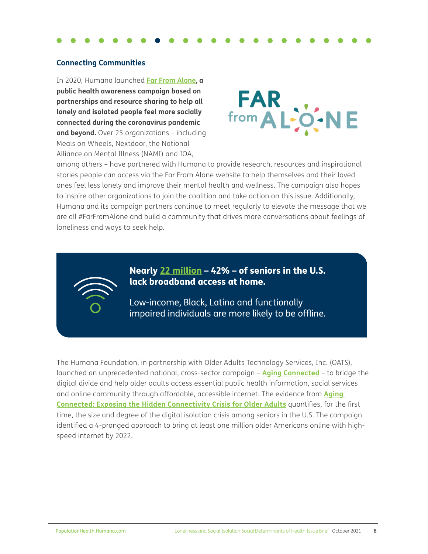### **Connecting Communities**

In 2020, Humana launched **[Far From Alone](https://farfromalone.com/)**, **a public health awareness campaign based on partnerships and resource sharing to help all lonely and isolated people feel more socially connected during the coronavirus pandemic and beyond.** Over 25 organizations – including Meals on Wheels, Nextdoor, the National Alliance on Mental Illness (NAMI) and IOA,



among others – have partnered with Humana to provide research, resources and inspirational stories people can access via the Far From Alone website to help themselves and their loved ones feel less lonely and improve their mental health and wellness. The campaign also hopes to inspire other organizations to join the coalition and take action on this issue. Additionally, Humana and its campaign partners continue to meet regularly to elevate the message that we are all #FarFromAlone and build a community that drives more conversations about feelings of loneliness and ways to seek help.



Nearly [22 million](https://agingconnected.org/report/) – 42% – of seniors in the U.S. lack broadband access at home.

Low-income, Black, Latino and functionally impaired individuals are more likely to be offline.

The Humana Foundation, in partnership with Older Adults Technology Services, Inc. (OATS), launched an unprecedented national, cross-sector campaign – **[Aging Connected](https://agingconnected.org/)** – to bridge the digital divide and help older adults access essential public health information, social services and online community through affordable, accessible internet. The evidence from **[Aging](https://agingconnected.org/report/)  [Connected: Exposing the Hidden Connectivity Crisis for Older Adults](https://agingconnected.org/report/)** quantifies, for the first time, the size and degree of the digital isolation crisis among seniors in the U.S. The campaign identified a 4-pronged approach to bring at least one million older Americans online with highspeed internet by 2022.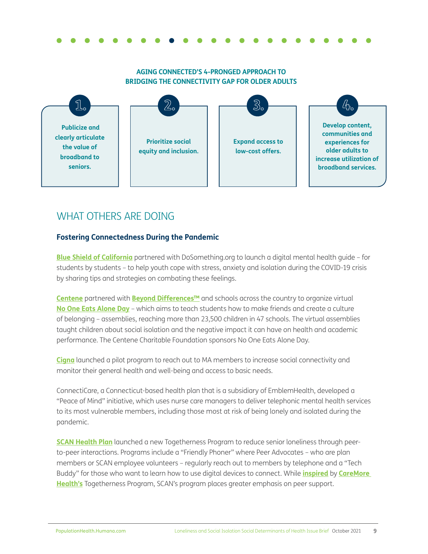### **AGING CONNECTED'S 4-PRONGED APPROACH TO BRIDGING THE CONNECTIVITY GAP FOR OLDER ADULTS**



## WHAT OTHERS ARE DOING

## **Fostering Connectedness During the Pandemic**

**[Blue Shield of California](https://news.blueshieldca.com/2020/09/01/blue-shield-of-californias-bluesky-initiative-and-dosomething-org-launch-first-ever-mental-health-tips-guide-for-students-by-students)** partnered with DoSomething.org to launch a digital mental health guide – for students by students – to help youth cope with stress, anxiety and isolation during the COVID-19 crisis by sharing tips and strategies on combating these feelings.

**[Centene](https://www.prnewswire.com/news-releases/centene-and-its-health-plans-raise-awareness-of-childhood-social-isolation-through-no-one-eats-alone-day-301237271.html)** partnered with **[Beyond Differences™](https://www.beyonddifferences.org/)** and schools across the country to organize virtual **[No One Eats Alone Day](https://www.beyonddifferences.org/no-one-eats-alone/)** – which aims to teach students how to make friends and create a culture of belonging – assemblies, reaching more than 23,500 children in 47 schools. The virtual assemblies taught children about social isolation and the negative impact it can have on health and academic performance. The Centene Charitable Foundation sponsors No One Eats Alone Day.

**[Cigna](https://www.healthcarefinancenews.com/news/cigna-launches-pilot-program-address-loneliness-during-covid-19)** launched a pilot program to reach out to MA members to increase social connectivity and monitor their general health and well-being and access to basic needs.

ConnectiCare, a Connecticut-based health plan that is a subsidiary of EmblemHealth, developed a "Peace of Mind" initiative, which uses nurse care managers to deliver telephonic mental health services to its most vulnerable members, including those most at risk of being lonely and isolated during the pandemic.

**[SCAN Health Plan](https://www.scanhealthplan.com/about-scan/press-room/may-2021/as-older-adults-reel-from-covid-isolation-scan-health-plan-launches-one-of-a-kind)** launched a new Togetherness Program to reduce senior loneliness through peerto-peer interactions. Programs include a "Friendly Phoner" where Peer Advocates – who are plan members or SCAN employee volunteers – regularly reach out to members by telephone and a "Tech Buddy" for those who want to learn how to use digital devices to connect. While **[inspired](https://medcitynews.com/2021/06/scan-healths-new-program-to-tackle-senior-isolation-focuses-on-connections-with-peers/)** by **[CareMore](https://www.caremore.com/-/media/CMHealth/Files/Broker/Our-Togetherness-Program.pdf?la=en&hash=7A14D197D8195E48C1EFB08375DBD6E946D6CD50)  [Health's](https://www.caremore.com/-/media/CMHealth/Files/Broker/Our-Togetherness-Program.pdf?la=en&hash=7A14D197D8195E48C1EFB08375DBD6E946D6CD50)** Togetherness Program, SCAN's program places greater emphasis on peer support.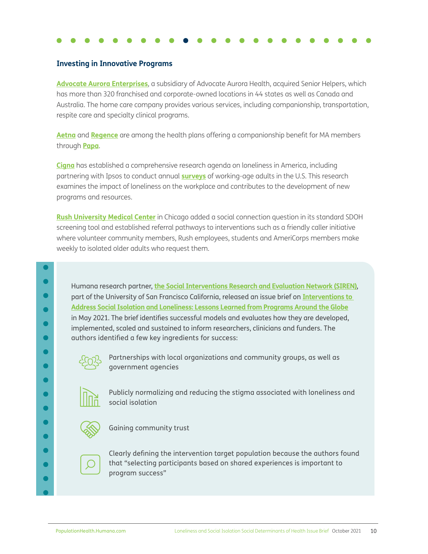### **Investing in Innovative Programs**

**[Advocate Aurora Enterprises](https://homehealthcarenews.com/2021/04/we-own-the-full-health-care-continuum-advocate-aurora-enterprises-acquires-senior-helpers/)**, a subsidiary of Advocate Aurora Health, acquired Senior Helpers, which has more than 320 franchised and corporate-owned locations in 44 states as well as Canada and Australia. The home care company provides various services, including companionship, transportation, respite care and specialty clinical programs.

**[Aetna](https://www.fiercehealthcare.com/payer/aetna-says-2021-medicare-advantage-plans-put-focus-total-health)** and **[Regence](https://news.regence.com/releases/regence-papa-partner-to-address-negative-effects-of-isolation-among-medicare-eligible-adults)** are among the health plans offering a companionship benefit for MA members through **[Papa](https://www.joinpapa.com/)**.

**[Cigna](https://newsroom.cigna.com/loneliness-in-america)** has established a comprehensive research agenda on loneliness in America, including partnering with Ipsos to conduct annual **[surveys](https://www.cigna.com/static/www-cigna-com/docs/about-us/newsroom/studies-and-reports/combatting-loneliness/cigna-2020-loneliness-factsheet.pdf)** of working-age adults in the U.S. This research examines the impact of loneliness on the workplace and contributes to the development of new programs and resources.

**[Rush University Medical Center](https://jamanetwork.com/journals/jama-health-forum/fullarticle/2774708)** in Chicago added a social connection question in its standard SDOH screening tool and established referral pathways to interventions such as a friendly caller initiative where volunteer community members, Rush employees, students and AmeriCorps members make weekly to isolated older adults who request them.

Humana research partner, **[the Social Interventions Research and Evaluation Network \(SIREN\)](https://sirenetwork.ucsf.edu/)**, part of the University of San Francisco California, released an issue brief on **[Interventions to](https://sirenetwork.ucsf.edu/sites/default/files/2021-05/Social%20Isolation%20Brief%20FINAL_0.pdf)  [Address Social Isolation and Loneliness: Lessons Learned from Programs Around the Globe](https://sirenetwork.ucsf.edu/sites/default/files/2021-05/Social%20Isolation%20Brief%20FINAL_0.pdf)** in May 2021. The brief identifies successful models and evaluates how they are developed, implemented, scaled and sustained to inform researchers, clinicians and funders. The authors identified a few key ingredients for success:



Partnerships with local organizations and community groups, as well as government agencies



Publicly normalizing and reducing the stigma associated with loneliness and social isolation



Gaining community trust



Clearly defining the intervention target population because the authors found that "selecting participants based on shared experiences is important to program success"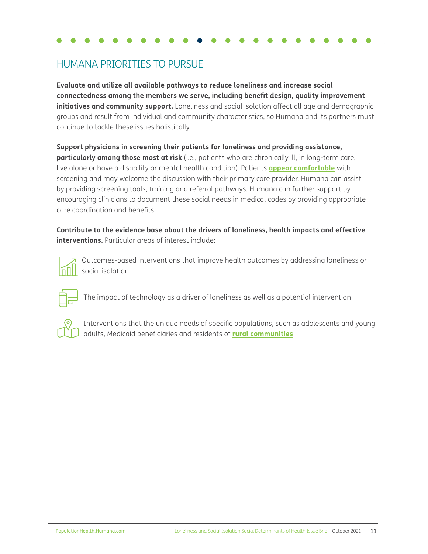## HUMANA PRIORITIES TO PURSUE

**Evaluate and utilize all available pathways to reduce loneliness and increase social connectedness among the members we serve, including benefit design, quality improvement initiatives and community support.** Loneliness and social isolation affect all age and demographic groups and result from individual and community characteristics, so Humana and its partners must continue to tackle these issues holistically.

**Support physicians in screening their patients for loneliness and providing assistance, particularly among those most at risk** (i.e., patients who are chronically ill, in long-term care, live alone or have a disability or mental health condition). Patients **[appear comfortable](https://link.springer.com/article/10.1007/s11606-020-06484-9)** with screening and may welcome the discussion with their primary care provider. Humana can assist by providing screening tools, training and referral pathways. Humana can further support by encouraging clinicians to document these social needs in medical codes by providing appropriate care coordination and benefits.

**Contribute to the evidence base about the drivers of loneliness, health impacts and effective interventions.** Particular areas of interest include:



 Outcomes-based interventions that improve health outcomes by addressing loneliness or social isolation



The impact of technology as a driver of loneliness as well as a potential intervention



Interventions that the unique needs of specific populations, such as adolescents and young adults, Medicaid beneficiaries and residents of **[rural communities](https://3pea7g1qp8f3t9ooe3z3npx1-wpengine.netdna-ssl.com/wp-content/uploads/2019/01/1539002382UMNpolicybriefKeyInformantPerspectivesonRuralSocialIsolationandLoneliness.pdf?_sm_au_=iVV0MS8V0VDMrq3VWTW4vK0p3MfC0)**